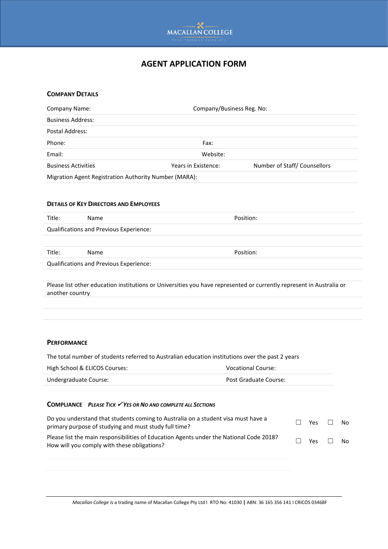

## **AGENT APPLICATION FORM**

# **COMPANY DETAILS** Company Name: Company/Business Reg. No: Business Address: Postal Address: Phone: Fax: Email: Website: Business Activities **Number of Staff** Counsellors Years in Existence: Number of Staff Counsellors Migration Agent Registration Authority Number (MARA): **DETAILS OF KEY DIRECTORS AND EMPLOYEES** Title: Name **Name Reserves Position:** Qualifications and Previous Experience: Title: Name **Name Position:** Qualifications and Previous Experience: Please list other education institutions or Universities you have represented or currently represent in Australia or another country

#### **PERFORMANCE**

The total number of students referred to Australian education institutions over the past 2 years

| High School & ELICOS Courses: | Vocational Course:    |  |  |  |
|-------------------------------|-----------------------|--|--|--|
| Undergraduate Course:         | Post Graduate Course: |  |  |  |

#### **COMPLIANCE** *PLEASE TICK* ✓ *YES OR NO AND COMPLETE ALL SECTIONS*

| Do you understand that students coming to Australia on a student visa must have a<br>primary purpose of studying and must study full time? | П.     | Yes $\Box$ | No. |
|--------------------------------------------------------------------------------------------------------------------------------------------|--------|------------|-----|
| Please list the main responsibilities of Education Agents under the National Code 2018?<br>How will you comply with these obligations?     | $\Box$ | Yes $\Box$ | No. |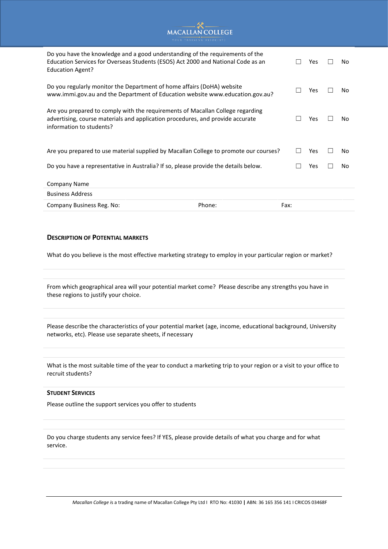# MACALLAN COLLEGE

| Do you have the knowledge and a good understanding of the requirements of the<br>Education Services for Overseas Students (ESOS) Act 2000 and National Code as an<br><b>Education Agent?</b> |        | <b>Yes</b> | No.        |    |
|----------------------------------------------------------------------------------------------------------------------------------------------------------------------------------------------|--------|------------|------------|----|
| Do you regularly monitor the Department of home affairs (DoHA) website<br>www.immi.gov.au and the Department of Education website www.education.gov.au?                                      |        |            | <b>Yes</b> | No |
| Are you prepared to comply with the requirements of Macallan College regarding<br>advertising, course materials and application procedures, and provide accurate<br>information to students? |        |            | Yes        | No |
| Are you prepared to use material supplied by Macallan College to promote our courses?                                                                                                        |        |            | Yes        | No |
| Do you have a representative in Australia? If so, please provide the details below.                                                                                                          |        |            | Yes        | No |
| Company Name                                                                                                                                                                                 |        |            |            |    |
| <b>Business Address</b>                                                                                                                                                                      |        |            |            |    |
| Company Business Reg. No:                                                                                                                                                                    | Phone: | Fax:       |            |    |

#### **DESCRIPTION OF POTENTIAL MARKETS**

What do you believe is the most effective marketing strategy to employ in your particular region or market?

From which geographical area will your potential market come? Please describe any strengths you have in these regions to justify your choice.

Please describe the characteristics of your potential market (age, income, educational background, University networks, etc). Please use separate sheets, if necessary

What is the most suitable time of the year to conduct a marketing trip to your region or a visit to your office to recruit students?

#### **STUDENT SERVICES**

Please outline the support services you offer to students

Do you charge students any service fees? If YES, please provide details of what you charge and for what service.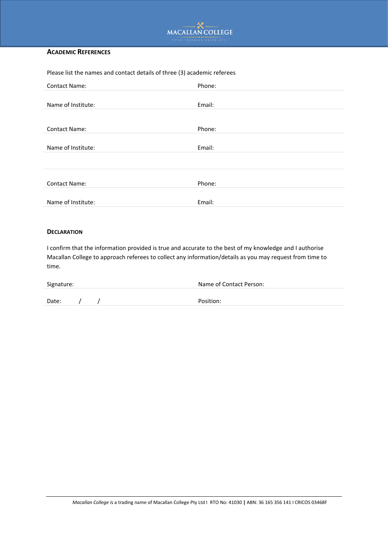

#### **ACADEMIC REFERENCES**

| Please list the names and contact details of three (3) academic referees |        |  |  |  |
|--------------------------------------------------------------------------|--------|--|--|--|
| <b>Contact Name:</b>                                                     | Phone: |  |  |  |
| Name of Institute:                                                       | Email: |  |  |  |
| <b>Contact Name:</b>                                                     | Phone: |  |  |  |
| Name of Institute:                                                       | Email: |  |  |  |
|                                                                          |        |  |  |  |
| <b>Contact Name:</b>                                                     | Phone: |  |  |  |
| Name of Institute:                                                       | Email: |  |  |  |

#### **DECLARATION**

I confirm that the information provided is true and accurate to the best of my knowledge and I authorise Macallan College to approach referees to collect any information/details as you may request from time to time.

| Signature: |  |  | Name of Contact Person: |  |  |  |
|------------|--|--|-------------------------|--|--|--|
|            |  |  |                         |  |  |  |
| Date:      |  |  | Position:               |  |  |  |